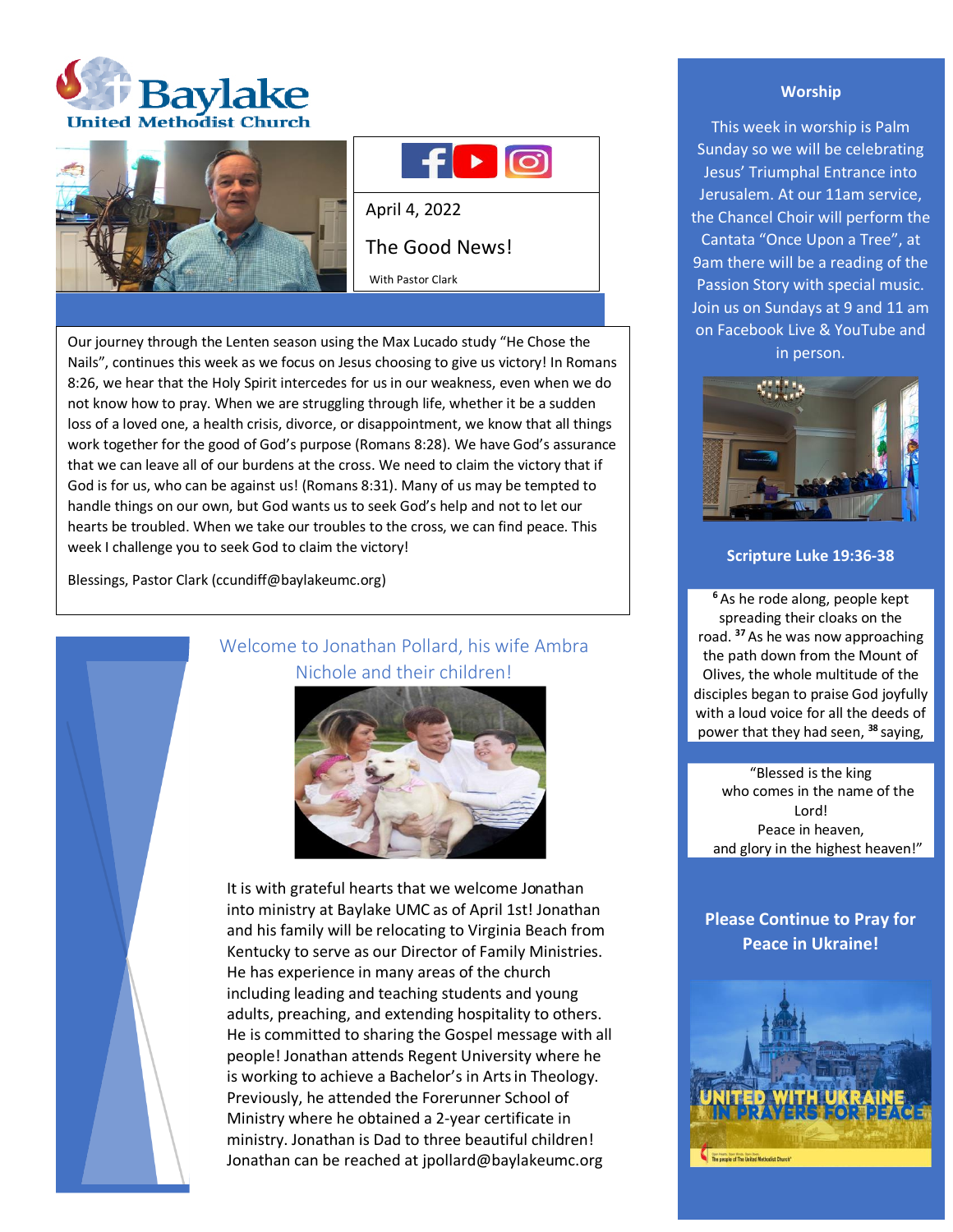





April 4, 2022

# The Good News!

With Pastor Clark

Our journey through the Lenten season using the Max Lucado study "He Chose the Nails", continues this week as we focus on Jesus choosing to give us victory! In Romans 8:26, we hear that the Holy Spirit intercedes for us in our weakness, even when we do not know how to pray. When we are struggling through life, whether it be a sudden loss of a loved one, a health crisis, divorce, or disappointment, we know that all things work together for the good of God's purpose (Romans 8:28). We have God's assurance that we can leave all of our burdens at the cross. We need to claim the victory that if God is for us, who can be against us! (Romans 8:31). Many of us may be tempted to handle things on our own, but God wants us to seek God's help and not to let our hearts be troubled. When we take our troubles to the cross, we can find peace. This week I challenge you to seek God to claim the victory!

Blessings, Pastor Clark (ccundiff@baylakeumc.org)

Welcome to Jonathan Pollard, his wife Ambra Nichole and their children!



It is with grateful hearts that we welcome Jonathan into ministry at Baylake UMC as of April 1st! Jonathan and his family will be relocating to Virginia Beach from Kentucky to serve as our Director of Family Ministries. He has experience in many areas of the church including leading and teaching students and young adults, preaching, and extending hospitality to others. He is committed to sharing the Gospel message with all people! Jonathan attends Regent University where he is working to achieve a Bachelor's in Arts in Theology. Previously, he attended the Forerunner School of Ministry where he obtained a 2-year certificate in ministry. Jonathan is Dad to three beautiful children! Jonathan can be reached at jpollard@baylakeumc.org

### **Worship**

This week in worship is Palm Sunday so we will be celebrating Jesus' Triumphal Entrance into Jerusalem. At our 11am service, the Chancel Choir will perform the Cantata "Once Upon a Tree", at 9am there will be a reading of the Passion Story with special music. Join us on Sundays at 9 and 11 am on Facebook Live & YouTube and in person.



#### **Scripture Luke 19:36-38**

**<sup>6</sup>** As he rode along, people kept spreading their cloaks on the road. **<sup>37</sup>** As he was now approaching the path down from the Mount of Olives, the whole multitude of the disciples began to praise God joyfully with a loud voice for all the deeds of power that they had seen, **<sup>38</sup>** saying,

"Blessed is the king who comes in the name of the Lord! Peace in heaven, and glory in the highest heaven!"

**Please Continue to Pray for Peace in Ukraine!**